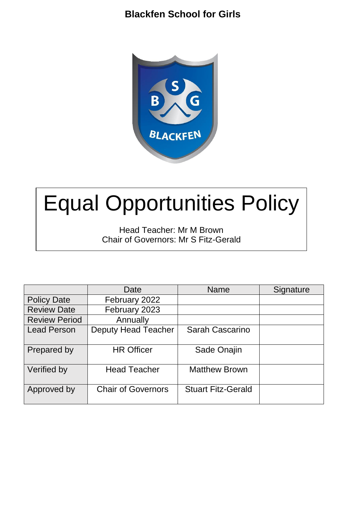## **Blackfen School for Girls**



# Equal Opportunities Policy

Head Teacher: Mr M Brown Chair of Governors: Mr S Fitz-Gerald

|                      | Date                       | Name                      | Signature |
|----------------------|----------------------------|---------------------------|-----------|
| <b>Policy Date</b>   | February 2022              |                           |           |
| <b>Review Date</b>   | February 2023              |                           |           |
| <b>Review Period</b> | Annually                   |                           |           |
| <b>Lead Person</b>   | <b>Deputy Head Teacher</b> | <b>Sarah Cascarino</b>    |           |
| Prepared by          | <b>HR Officer</b>          | Sade Onajin               |           |
| Verified by          | <b>Head Teacher</b>        | <b>Matthew Brown</b>      |           |
| Approved by          | <b>Chair of Governors</b>  | <b>Stuart Fitz-Gerald</b> |           |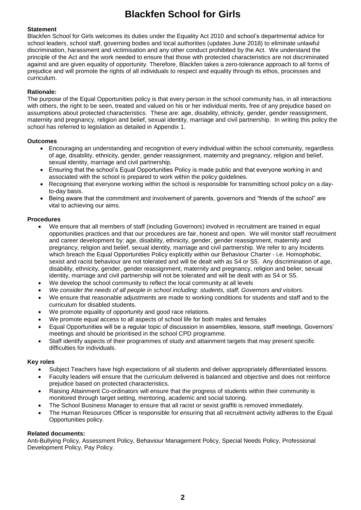## **Blackfen School for Girls**

#### **Statement**

Blackfen School for Girls welcomes its duties under the Equality Act 2010 and school's departmental advice for school leaders, school staff, governing bodies and local authorities (updates June 2018) to eliminate unlawful discrimination, harassment and victimisation and any other conduct prohibited by the Act. We understand the principle of the Act and the work needed to ensure that those with protected characteristics are not discriminated against and are given equality of opportunity. Therefore, Blackfen takes a zero-tolerance approach to all forms of prejudice and will promote the rights of all individuals to respect and equality through its ethos, processes and curriculum.

#### **Rationale:**

The purpose of the Equal Opportunities policy is that every person in the school community has, in all interactions with others, the right to be seen, treated and valued on his or her individual merits, free of any prejudice based on assumptions about protected characteristics. These are: age, disability, ethnicity, gender, gender reassignment, maternity and pregnancy, religion and belief, sexual identity, marriage and civil partnership. In writing this policy the school has referred to legislation as detailed in Appendix 1.

#### **Outcomes**

- Encouraging an understanding and recognition of every individual within the school community, regardless of age, disability, ethnicity, gender, gender reassignment, maternity and pregnancy, religion and belief, sexual identity, marriage and civil partnership.
- Ensuring that the school's Equal Opportunities Policy is made public and that everyone working in and associated with the school is prepared to work within the policy guidelines.
- Recognising that everyone working within the school is responsible for transmitting school policy on a dayto-day basis.
- Being aware that the commitment and involvement of parents, governors and "friends of the school" are vital to achieving our aims.

#### **Procedures**

- We ensure that all members of staff (including Governors) involved in recruitment are trained in equal opportunities practices and that our procedures are fair, honest and open. We will monitor staff recruitment and career development by: age, disability, ethnicity, gender, gender reassignment, maternity and pregnancy, religion and belief, sexual identity, marriage and civil partnership. We refer to any Incidents which breach the Equal Opportunities Policy explicitly within our Behaviour Charter *-* i.e. Homophobic, sexist and racist behaviour are not tolerated and will be dealt with as S4 or S5. Any discrimination of age, disability, ethnicity, gender, gender reassignment, maternity and pregnancy, religion and belier, sexual identity, marriage and civil partnership will not be tolerated and will be dealt with as S4 or S5.
- We develop the school community to reflect the local community at all levels
- *We consider the needs of all people in school including: students, staff, Governors and visitors.*
- We ensure that reasonable adjustments are made to working conditions for students and staff and to the curriculum for disabled students.
- We promote equality of opportunity and good race relations.
- We promote equal access to all aspects of school life for both males and females
- Equal Opportunities will be a regular topic of discussion in assemblies, lessons, staff meetings, Governors' meetings and should be prioritised in the school CPD programme.
- Staff identify aspects of their programmes of study and attainment targets that may present specific difficulties for individuals.

#### **Key roles**

- Subject Teachers have high expectations of all students and deliver appropriately differentiated lessons.
- Faculty leaders will ensure that the curriculum delivered is balanced and objective and does not reinforce prejudice based on protected characteristics.
- Raising Attainment Co-ordinators will ensure that the progress of students within their community is monitored through target setting, mentoring, academic and social tutoring.
- The School Business Manager to ensure that all racist or sexist graffiti is removed immediately.
- The Human Resources Officer is responsible for ensuring that all recruitment activity adheres to the Equal Opportunities policy.

#### **Related documents:**

Anti-Bullying Policy, Assessment Policy, Behaviour Management Policy, Special Needs Policy, Professional Development Policy, Pay Policy.